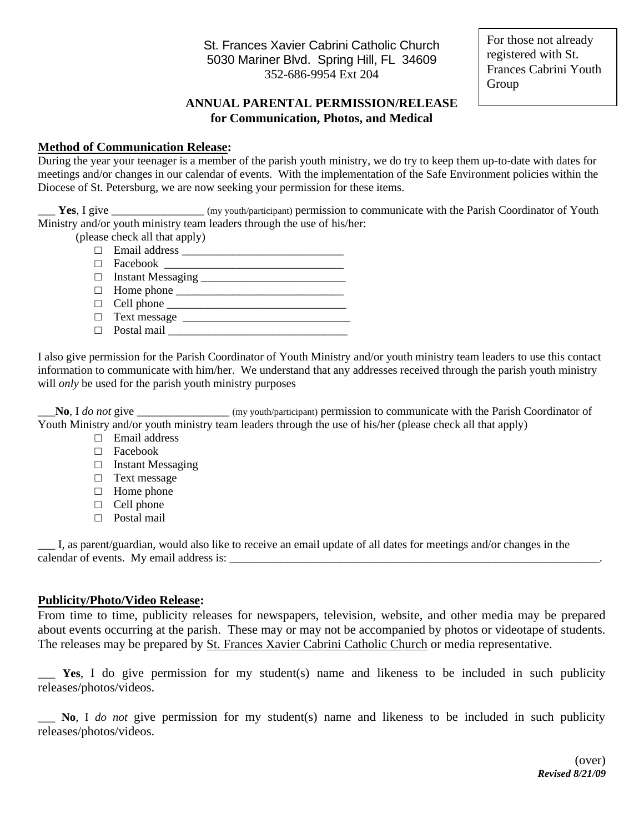St. Frances Xavier Cabrini Catholic Church 5030 Mariner Blvd. Spring Hill, FL 34609 352-686-9954 Ext 204

For those not already registered with St. Frances Cabrini Youth Group

### **ANNUAL PARENTAL PERMISSION/RELEASE for Communication, Photos, and Medical**

#### **Method of Communication Release:**

During the year your teenager is a member of the parish youth ministry, we do try to keep them up-to-date with dates for meetings and/or changes in our calendar of events. With the implementation of the Safe Environment policies within the Diocese of St. Petersburg, we are now seeking your permission for these items.

Yes, I give \_\_\_\_\_\_\_\_\_\_\_\_\_\_\_ (my youth/participant) permission to communicate with the Parish Coordinator of Youth Ministry and/or youth ministry team leaders through the use of his/her:

(please check all that apply)

- $\Box$  Email address
- $\hfill \Box \quad \text{Facebook} \quad \underline{\hspace{2cm}} \qquad \qquad \Box$
- □ Instant Messaging \_\_\_\_\_\_\_\_\_\_\_\_\_\_\_\_\_\_\_\_\_\_\_\_\_
- $\Box$  Home phone
- □ Cell phone \_\_\_\_\_\_\_\_\_\_\_\_\_\_\_\_\_\_\_\_\_\_\_\_\_\_\_\_\_\_\_
- □ Text message <u>\_\_\_\_\_\_\_\_\_\_\_\_\_\_\_\_\_\_\_\_\_\_\_\_\_\_\_\_\_\_</u>
- $\Box$  Postal mail

I also give permission for the Parish Coordinator of Youth Ministry and/or youth ministry team leaders to use this contact information to communicate with him/her. We understand that any addresses received through the parish youth ministry will *only* be used for the parish youth ministry purposes

\_\_\_**No**, I *do not* give \_\_\_\_\_\_\_\_\_\_\_\_\_\_\_\_ (my youth/participant) permission to communicate with the Parish Coordinator of Youth Ministry and/or youth ministry team leaders through the use of his/her (please check all that apply)

- □ Email address
- □ Facebook
- □ Instant Messaging
- □ Text message
- □ Home phone
- □ Cell phone
- □ Postal mail

\_\_\_ I, as parent/guardian, would also like to receive an email update of all dates for meetings and/or changes in the calendar of events. My email address is:

#### **Publicity/Photo/Video Release:**

From time to time, publicity releases for newspapers, television, website, and other media may be prepared about events occurring at the parish. These may or may not be accompanied by photos or videotape of students. The releases may be prepared by St. Frances Xavier Cabrini Catholic Church or media representative.

\_\_\_ **Yes**, I do give permission for my student(s) name and likeness to be included in such publicity releases/photos/videos.

\_\_\_ **No**, I *do not* give permission for my student(s) name and likeness to be included in such publicity releases/photos/videos.